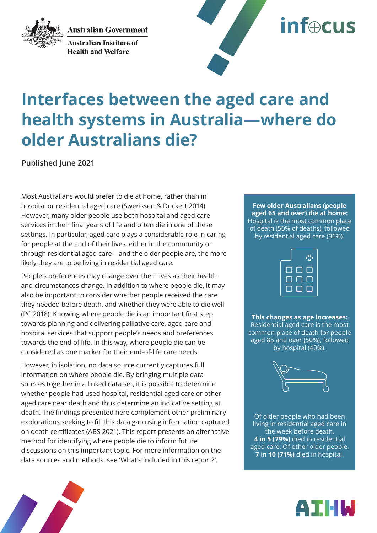**Australian Government** 



**Australian Institute of Health and Welfare** 



# **Interfaces between the aged care and health systems in Australia—where do older Australians die?**

**Published June 2021**

Most Australians would prefer to die at home, rather than in hospital or residential aged care (Swerissen & Duckett 2014). However, many older people use both hospital and aged care services in their final years of life and often die in one of these settings. In particular, aged care plays a considerable role in caring for people at the end of their lives, either in the community or through residential aged care—and the older people are, the more likely they are to be living in residential aged care.

People's preferences may change over their lives as their health and circumstances change. In addition to where people die, it may also be important to consider whether people received the care they needed before death, and whether they were able to die well (PC 2018). Knowing where people die is an important first step towards planning and delivering palliative care, aged care and hospital services that support people's needs and preferences towards the end of life. In this way, where people die can be considered as one marker for their end-of-life care needs.

However, in isolation, no data source currently captures full information on where people die. By bringing multiple data sources together in a linked data set, it is possible to determine whether people had used hospital, residential aged care or other aged care near death and thus determine an indicative setting at death. The findings presented here complement other preliminary explorations seeking to fill this data gap using information captured on death certificates (ABS 2021). This report presents an alternative method for identifying where people die to inform future discussions on this important topic. For more information on the data sources and methods, see 'What's included in this report?'.

**Few older Australians (people aged 65 and over) die at home:** Hospital is the most common place of death (50% of deaths), followed by residential aged care (36%).

|     |     | ሩን  |
|-----|-----|-----|
| F I | L I | l s |
|     | O   |     |
|     |     |     |

**This changes as age increases:** Residential aged care is the most common place of death for people aged 85 and over (50%), followed by hospital (40%).



Of older people who had been living in residential aged care in the week before death, **4 in 5 (79%)** died in residential aged care. Of other older people, **7 in 10 (71%)** died in hospital.



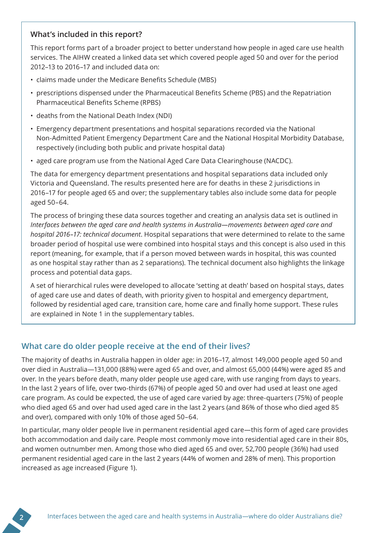#### **What's included in this report?**

This report forms part of a broader project to better understand how people in aged care use health services. The AIHW created a linked data set which covered people aged 50 and over for the period 2012–13 to 2016–17 and included data on:

- claims made under the Medicare Benefits Schedule (MBS)
- prescriptions dispensed under the Pharmaceutical Benefits Scheme (PBS) and the Repatriation Pharmaceutical Benefits Scheme (RPBS)
- deaths from the National Death Index (NDI)
- Emergency department presentations and hospital separations recorded via the National Non-Admitted Patient Emergency Department Care and the National Hospital Morbidity Database, respectively (including both public and private hospital data)
- aged care program use from the National Aged Care Data Clearinghouse (NACDC).

The data for emergency department presentations and hospital separations data included only Victoria and Queensland. The results presented here are for deaths in these 2 jurisdictions in 2016–17 for people aged 65 and over; the supplementary tables also include some data for people aged 50–64.

The process of bringing these data sources together and creating an analysis data set is outlined in *Interfaces between the aged care and health systems in Australia—movements between aged care and hospital 2016–17: technical document*. Hospital separations that were determined to relate to the same broader period of hospital use were combined into hospital stays and this concept is also used in this report (meaning, for example, that if a person moved between wards in hospital, this was counted as one hospital stay rather than as 2 separations). The technical document also highlights the linkage process and potential data gaps.

A set of hierarchical rules were developed to allocate 'setting at death' based on hospital stays, dates of aged care use and dates of death, with priority given to hospital and emergency department, followed by residential aged care, transition care, home care and finally home support. These rules are explained in Note 1 in the supplementary tables.

#### **What care do older people receive at the end of their lives?**

The majority of deaths in Australia happen in older age: in 2016–17, almost 149,000 people aged 50 and over died in Australia—131,000 (88%) were aged 65 and over, and almost 65,000 (44%) were aged 85 and over. In the years before death, many older people use aged care, with use ranging from days to years. In the last 2 years of life, over two-thirds (67%) of people aged 50 and over had used at least one aged care program. As could be expected, the use of aged care varied by age: three-quarters (75%) of people who died aged 65 and over had used aged care in the last 2 years (and 86% of those who died aged 85 and over), compared with only 10% of those aged 50–64.

In particular, many older people live in permanent residential aged care—this form of aged care provides both accommodation and daily care. People most commonly move into residential aged care in their 80s, and women outnumber men. Among those who died aged 65 and over, 52,700 people (36%) had used permanent residential aged care in the last 2 years (44% of women and 28% of men). This proportion increased as age increased (Figure 1).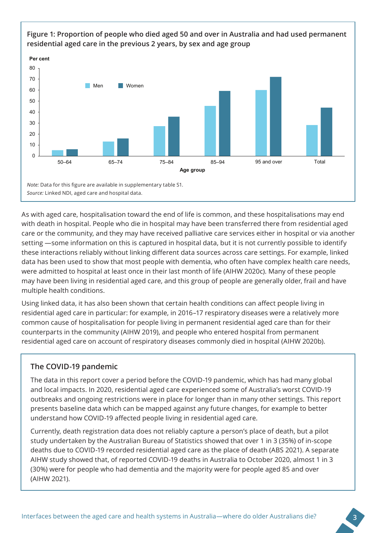

As with aged care, hospitalisation toward the end of life is common, and these hospitalisations may end with death in hospital. People who die in hospital may have been transferred there from residential aged care or the community, and they may have received palliative care services either in hospital or via another setting —some information on this is captured in hospital data, but it is not currently possible to identify these interactions reliably without linking different data sources across care settings. For example, linked data has been used to show that most people with dementia, who often have complex health care needs, were admitted to hospital at least once in their last month of life (AIHW 2020c). Many of these people may have been living in residential aged care, and this group of people are generally older, frail and have multiple health conditions.

Using linked data, it has also been shown that certain health conditions can affect people living in residential aged care in particular: for example, in 2016–17 respiratory diseases were a relatively more common cause of hospitalisation for people living in permanent residential aged care than for their counterparts in the community (AIHW 2019), and people who entered hospital from permanent residential aged care on account of respiratory diseases commonly died in hospital (AIHW 2020b).

#### **The COVID-19 pandemic**

The data in this report cover a period before the COVID-19 pandemic, which has had many global and local impacts. In 2020, residential aged care experienced some of Australia's worst COVID-19 outbreaks and ongoing restrictions were in place for longer than in many other settings. This report presents baseline data which can be mapped against any future changes, for example to better understand how COVID-19 affected people living in residential aged care.

Currently, death registration data does not reliably capture a person's place of death, but a pilot study undertaken by the Australian Bureau of Statistics showed that over 1 in 3 (35%) of in-scope deaths due to COVID-19 recorded residential aged care as the place of death (ABS 2021). A separate AIHW study showed that, of reported COVID-19 deaths in Australia to October 2020, almost 1 in 3 (30%) were for people who had dementia and the majority were for people aged 85 and over (AIHW 2021).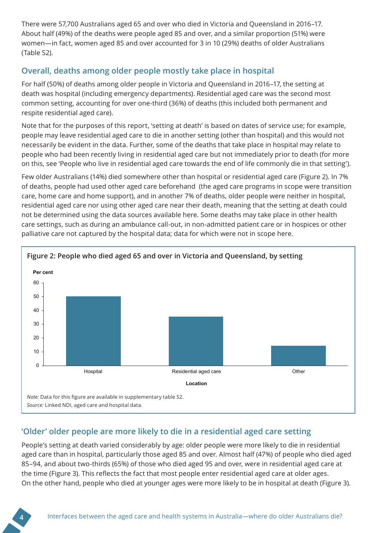There were 57,700 Australians aged 65 and over who died in Victoria and Queensland in 2016–17. About half (49%) of the deaths were people aged 85 and over, and a similar proportion (51%) were women—in fact, women aged 85 and over accounted for 3 in 10 (29%) deaths of older Australians (Table S2).

## **Overall, deaths among older people mostly take place in hospital**

For half (50%) of deaths among older people in Victoria and Queensland in 2016–17, the setting at death was hospital (including emergency departments). Residential aged care was the second most common setting, accounting for over one-third (36%) of deaths (this included both permanent and respite residential aged care).

Note that for the purposes of this report, 'setting at death' is based on dates of service use; for example, people may leave residential aged care to die in another setting (other than hospital) and this would not necessarily be evident in the data. Further, some of the deaths that take place in hospital may relate to people who had been recently living in residential aged care but not immediately prior to death (for more on this, see 'People who live in residential aged care towards the end of life commonly die in that setting').

Few older Australians (14%) died somewhere other than hospital or residential aged care (Figure 2). In 7% of deaths, people had used other aged care beforehand (the aged care programs in scope were transition care, home care and home support), and in another 7% of deaths, older people were neither in hospital, residential aged care nor using other aged care near their death, meaning that the setting at death could not be determined using the data sources available here. Some deaths may take place in other health care settings, such as during an ambulance call-out, in non-admitted patient care or in hospices or other palliative care not captured by the hospital data; data for which were not in scope here.



## **'Older' older people are more likely to die in a residential aged care setting**

People's setting at death varied considerably by age: older people were more likely to die in residential aged care than in hospital, particularly those aged 85 and over. Almost half (47%) of people who died aged 85–94, and about two-thirds (65%) of those who died aged 95 and over, were in residential aged care at the time (Figure 3). This reflects the fact that most people enter residential aged care at older ages. On the other hand, people who died at younger ages were more likely to be in hospital at death (Figure 3).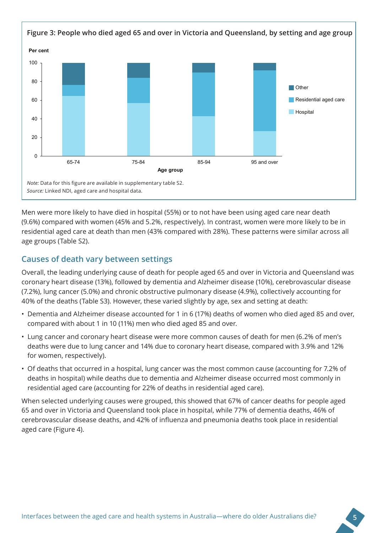

Men were more likely to have died in hospital (55%) or to not have been using aged care near death (9.6%) compared with women (45% and 5.2%, respectively). In contrast, women were more likely to be in residential aged care at death than men (43% compared with 28%). These patterns were similar across all age groups (Table S2).

#### **Causes of death vary between settings**

Overall, the leading underlying cause of death for people aged 65 and over in Victoria and Queensland was coronary heart disease (13%), followed by dementia and Alzheimer disease (10%), cerebrovascular disease (7.2%), lung cancer (5.0%) and chronic obstructive pulmonary disease (4.9%), collectively accounting for 40% of the deaths (Table S3). However, these varied slightly by age, sex and setting at death:

- Dementia and Alzheimer disease accounted for 1 in 6 (17%) deaths of women who died aged 85 and over, compared with about 1 in 10 (11%) men who died aged 85 and over.
- Lung cancer and coronary heart disease were more common causes of death for men (6.2% of men's deaths were due to lung cancer and 14% due to coronary heart disease, compared with 3.9% and 12% for women, respectively).
- Of deaths that occurred in a hospital, lung cancer was the most common cause (accounting for 7.2% of deaths in hospital) while deaths due to dementia and Alzheimer disease occurred most commonly in residential aged care (accounting for 22% of deaths in residential aged care).

When selected underlying causes were grouped, this showed that 67% of cancer deaths for people aged 65 and over in Victoria and Queensland took place in hospital, while 77% of dementia deaths, 46% of cerebrovascular disease deaths, and 42% of influenza and pneumonia deaths took place in residential aged care (Figure 4).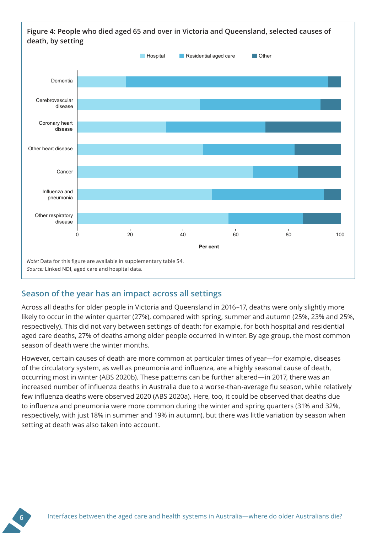

#### **Season of the year has an impact across all settings**

Across all deaths for older people in Victoria and Queensland in 2016–17, deaths were only slightly more likely to occur in the winter quarter (27%), compared with spring, summer and autumn (25%, 23% and 25%, respectively). This did not vary between settings of death: for example, for both hospital and residential aged care deaths, 27% of deaths among older people occurred in winter. By age group, the most common season of death were the winter months.

However, certain causes of death are more common at particular times of year—for example, diseases of the circulatory system, as well as pneumonia and influenza, are a highly seasonal cause of death, occurring most in winter (ABS 2020b). These patterns can be further altered—in 2017, there was an increased number of influenza deaths in Australia due to a worse-than-average flu season, while relatively few influenza deaths were observed 2020 (ABS 2020a). Here, too, it could be observed that deaths due to influenza and pneumonia were more common during the winter and spring quarters (31% and 32%, respectively, with just 18% in summer and 19% in autumn), but there was little variation by season when setting at death was also taken into account.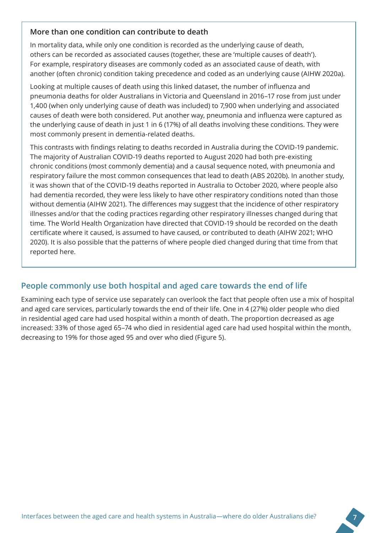#### **More than one condition can contribute to death**

In mortality data, while only one condition is recorded as the underlying cause of death, others can be recorded as associated causes (together, these are 'multiple causes of death'). For example, respiratory diseases are commonly coded as an associated cause of death, with another (often chronic) condition taking precedence and coded as an underlying cause (AIHW 2020a).

Looking at multiple causes of death using this linked dataset, the number of influenza and pneumonia deaths for older Australians in Victoria and Queensland in 2016–17 rose from just under 1,400 (when only underlying cause of death was included) to 7,900 when underlying and associated causes of death were both considered. Put another way, pneumonia and influenza were captured as the underlying cause of death in just 1 in 6 (17%) of all deaths involving these conditions. They were most commonly present in dementia-related deaths.

This contrasts with findings relating to deaths recorded in Australia during the COVID-19 pandemic. The majority of Australian COVID-19 deaths reported to August 2020 had both pre-existing chronic conditions (most commonly dementia) and a causal sequence noted, with pneumonia and respiratory failure the most common consequences that lead to death (ABS 2020b). In another study, it was shown that of the COVID-19 deaths reported in Australia to October 2020, where people also had dementia recorded, they were less likely to have other respiratory conditions noted than those without dementia (AIHW 2021). The differences may suggest that the incidence of other respiratory illnesses and/or that the coding practices regarding other respiratory illnesses changed during that time. The World Health Organization have directed that COVID-19 should be recorded on the death certificate where it caused, is assumed to have caused, or contributed to death (AIHW 2021; WHO 2020). It is also possible that the patterns of where people died changed during that time from that reported here.

## **People commonly use both hospital and aged care towards the end of life**

Examining each type of service use separately can overlook the fact that people often use a mix of hospital and aged care services, particularly towards the end of their life. One in 4 (27%) older people who died in residential aged care had used hospital within a month of death. The proportion decreased as age increased: 33% of those aged 65–74 who died in residential aged care had used hospital within the month, decreasing to 19% for those aged 95 and over who died (Figure 5).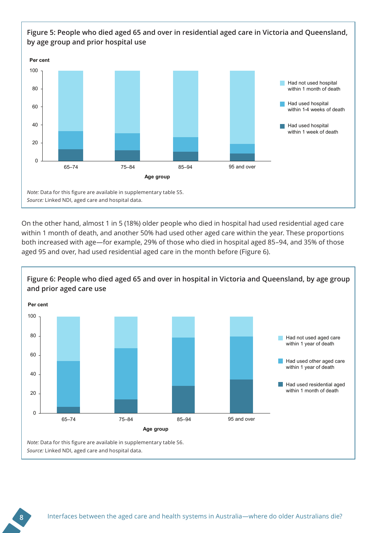

On the other hand, almost 1 in 5 (18%) older people who died in hospital had used residential aged care within 1 month of death, and another 50% had used other aged care within the year. These proportions both increased with age—for example, 29% of those who died in hospital aged 85–94, and 35% of those aged 95 and over, had used residential aged care in the month before (Figure 6).

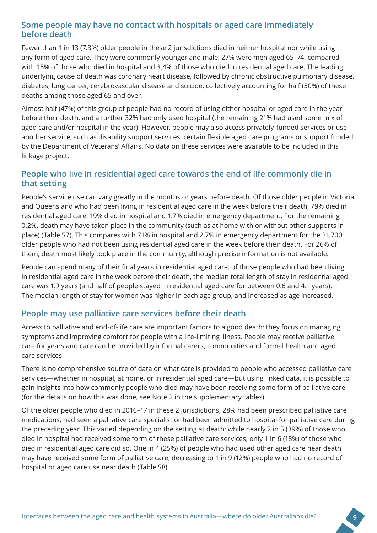#### **Some people may have no contact with hospitals or aged care immediately before death**

Fewer than 1 in 13 (7.3%) older people in these 2 jurisdictions died in neither hospital nor while using any form of aged care. They were commonly younger and male: 27% were men aged 65–74, compared with 15% of those who died in hospital and 3.4% of those who died in residential aged care. The leading underlying cause of death was coronary heart disease, followed by chronic obstructive pulmonary disease, diabetes, lung cancer, cerebrovascular disease and suicide, collectively accounting for half (50%) of these deaths among those aged 65 and over.

Almost half (47%) of this group of people had no record of using either hospital or aged care in the year before their death, and a further 32% had only used hospital (the remaining 21% had used some mix of aged care and/or hospital in the year). However, people may also access privately-funded services or use another service, such as disability support services, certain flexible aged care programs or support funded by the Department of Veterans' Affairs. No data on these services were available to be included in this linkage project.

#### **People who live in residential aged care towards the end of life commonly die in that setting**

People's service use can vary greatly in the months or years before death. Of those older people in Victoria and Queensland who had been living in residential aged care in the week before their death, 79% died in residential aged care, 19% died in hospital and 1.7% died in emergency department. For the remaining 0.2%, death may have taken place in the community (such as at home with or without other supports in place) (Table S7). This compares with 71% in hospital and 2.7% in emergency department for the 31,700 older people who had not been using residential aged care in the week before their death. For 26% of them, death most likely took place in the community, although precise information is not available.

People can spend many of their final years in residential aged care: of those people who had been living in residential aged care in the week before their death, the median total length of stay in residential aged care was 1.9 years (and half of people stayed in residential aged care for between 0.6 and 4.1 years). The median length of stay for women was higher in each age group, and increased as age increased.

#### **People may use palliative care services before their death**

Access to palliative and end-of-life care are important factors to a good death: they focus on managing symptoms and improving comfort for people with a life-limiting illness. People may receive palliative care for years and care can be provided by informal carers, communities and formal health and aged care services.

There is no comprehensive source of data on what care is provided to people who accessed palliative care services—whether in hospital, at home, or in residential aged care—but using linked data, it is possible to gain insights into how commonly people who died may have been receiving some form of palliative care (for the details on how this was done, see Note 2 in the supplementary tables).

Of the older people who died in 2016–17 in these 2 jurisdictions, 28% had been prescribed palliative care medications, had seen a palliative care specialist or had been admitted to hospital for palliative care during the preceding year. This varied depending on the setting at death: while nearly 2 in 5 (39%) of those who died in hospital had received some form of these palliative care services, only 1 in 6 (18%) of those who died in residential aged care did so. One in 4 (25%) of people who had used other aged care near death may have received some form of palliative care, decreasing to 1 in 9 (12%) people who had no record of hospital or aged care use near death (Table S8).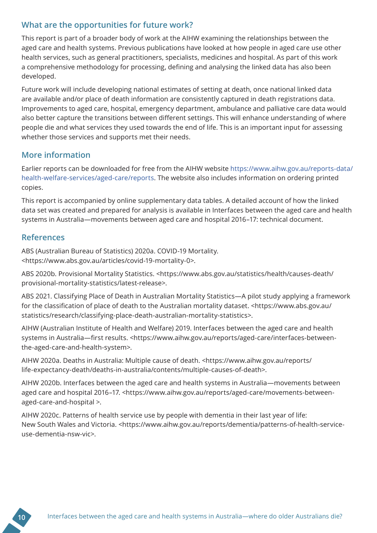#### **What are the opportunities for future work?**

This report is part of a broader body of work at the AIHW examining the relationships between the aged care and health systems. Previous publications have looked at how people in aged care use other health services, such as general practitioners, specialists, medicines and hospital. As part of this work a comprehensive methodology for processing, defining and analysing the linked data has also been developed.

Future work will include developing national estimates of setting at death, once national linked data are available and/or place of death information are consistently captured in death registrations data. Improvements to aged care, hospital, emergency department, ambulance and palliative care data would also better capture the transitions between different settings. This will enhance understanding of where people die and what services they used towards the end of life. This is an important input for assessing whether those services and supports met their needs.

#### **More information**

Earlier reports can be downloaded for free from the AIHW website https://www.aihw.gov.au/reports-data/ health-welfare-services/aged-care/reports. The website also includes information on ordering printed copies.

This report is accompanied by online supplementary data tables. A detailed account of how the linked data set was created and prepared for analysis is available in Interfaces between the aged care and health systems in Australia—movements between aged care and hospital 2016–17: technical document.

#### **References**

ABS (Australian Bureau of Statistics) 2020a. COVID-19 Mortality. <https://www.abs.gov.au/articles/covid-19-mortality-0>.

ABS 2020b. Provisional Mortality Statistics. <https://www.abs.gov.au/statistics/health/causes-death/ provisional-mortality-statistics/latest-release>.

ABS 2021. Classifying Place of Death in Australian Mortality Statistics—A pilot study applying a framework for the classification of place of death to the Australian mortality dataset. <https://www.abs.gov.au/ statistics/research/classifying-place-death-australian-mortality-statistics>.

AIHW (Australian Institute of Health and Welfare) 2019. Interfaces between the aged care and health systems in Australia—first results. <https://www.aihw.gov.au/reports/aged-care/interfaces-betweenthe-aged-care-and-health-system>.

AIHW 2020a. Deaths in Australia: Multiple cause of death. <https://www.aihw.gov.au/reports/ life-expectancy-death/deaths-in-australia/contents/multiple-causes-of-death>.

AIHW 2020b. Interfaces between the aged care and health systems in Australia—movements between aged care and hospital 2016-17. <https://www.aihw.gov.au/reports/aged-care/movements-betweenaged-care-and-hospital >.

AIHW 2020c. Patterns of health service use by people with dementia in their last year of life: New South Wales and Victoria. <https://www.aihw.gov.au/reports/dementia/patterns-of-health-serviceuse-dementia-nsw-vic>.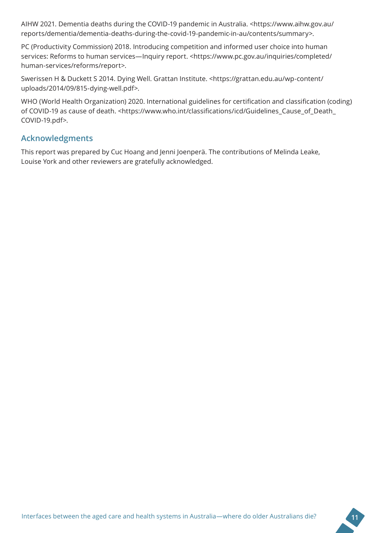AIHW 2021. Dementia deaths during the COVID-19 pandemic in Australia. <https://www.aihw.gov.au/ reports/dementia/dementia-deaths-during-the-covid-19-pandemic-in-au/contents/summary>.

PC (Productivity Commission) 2018. Introducing competition and informed user choice into human services: Reforms to human services—Inquiry report. <https://www.pc.gov.au/inquiries/completed/ human-services/reforms/report>.

Swerissen H & Duckett S 2014. Dying Well. Grattan Institute. <https://grattan.edu.au/wp-content/ uploads/2014/09/815-dying-well.pdf>.

WHO (World Health Organization) 2020. International guidelines for certification and classification (coding) of COVID-19 as cause of death. <https://www.who.int/classifications/icd/Guidelines\_Cause\_of\_Death\_ COVID-19.pdf>.

#### **Acknowledgments**

This report was prepared by Cuc Hoang and Jenni Joenperä. The contributions of Melinda Leake, Louise York and other reviewers are gratefully acknowledged.